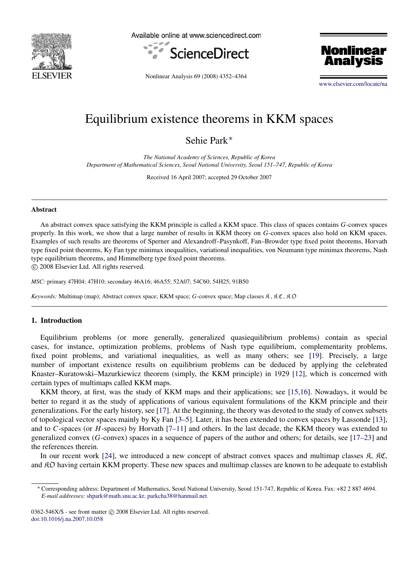

Available online at www.sciencedirect.com





Nonlinear Analysis 69 (2008) 4352–4364

[www.elsevier.com/locate/na](http://www.elsevier.com/locate/na)

# Equilibrium existence theorems in KKM spaces

Sehie Park[∗](#page-0-0)

*The National Academy of Sciences, Republic of Korea Department of Mathematical Sciences, Seoul National University, Seoul 151–747, Republic of Korea*

Received 16 April 2007; accepted 29 October 2007

#### Abstract

An abstract convex space satisfying the KKM principle is called a KKM space. This class of spaces contains *G*-convex spaces properly. In this work, we show that a large number of results in KKM theory on *G*-convex spaces also hold on KKM spaces. Examples of such results are theorems of Sperner and Alexandroff–Pasynkoff, Fan–Browder type fixed point theorems, Horvath type fixed point theorems, Ky Fan type minimax inequalities, variational inequalities, von Neumann type minimax theorems, Nash type equilibrium theorems, and Himmelberg type fixed point theorems.

c 2008 Elsevier Ltd. All rights reserved.

*MSC:* primary 47H04; 47H10; secondary 46A16; 46A55; 52A07; 54C60; 54H25; 91B50

*Keywords:* Multimap (map); Abstract convex space; KKM space; *G*-convex space; Map classes  $\mathcal{R}$ ,  $\mathcal{R}\mathcal{C}$ ,  $\mathcal{R}\mathcal{D}$ 

## 1. Introduction

Equilibrium problems (or more generally, generalized quasiequilibrium problems) contain as special cases, for instance, optimization problems, problems of Nash type equilibrium, complementarity problems, fixed point problems, and variational inequalities, as well as many others; see [\[19\]](#page-11-0). Precisely, a large number of important existence results on equilibrium problems can be deduced by applying the celebrated Knaster–Kuratowski–Mazurkiewicz theorem (simply, the KKM principle) in 1929 [\[12\]](#page-11-1), which is concerned with certain types of multimaps called KKM maps.

KKM theory, at first, was the study of KKM maps and their applications; see [\[15](#page-11-2)[,16\]](#page-11-3). Nowadays, it would be better to regard it as the study of applications of various equivalent formulations of the KKM principle and their generalizations. For the early history, see [\[17\]](#page-11-4). At the beginning, the theory was devoted to the study of convex subsets of topological vector spaces mainly by Ky Fan [\[3–5\]](#page-11-5). Later, it has been extended to convex spaces by Lassonde [\[13\]](#page-11-6), and to *C*-spaces (or *H*-spaces) by Horvath [\[7–11\]](#page-11-7) and others. In the last decade, the KKM theory was extended to generalized convex (*G*-convex) spaces in a sequence of papers of the author and others; for details, see [\[17–23\]](#page-11-4) and the references therein.

In our recent work [\[24\]](#page-11-8), we introduced a new concept of abstract convex spaces and multimap classes  $\mathfrak{K}$ ,  $\mathfrak{K}\mathfrak{C}$ , and RO having certain KKM property. These new spaces and multimap classes are known to be adequate to establish

<span id="page-0-0"></span><sup>∗</sup> Corresponding address: Department of Mathematics, Seoul National University, Seoul 151-747, Republic of Korea. Fax: +82 2 887 4694. *E-mail addresses:* [shpark@math.snu.ac.kr,](mailto:shpark@math.snu.ac.kr) [parkcha38@hanmail.net.](mailto:parkcha38@hanmail.net)

<sup>0362-546</sup>X/\$ - see front matter  $\circ$  2008 Elsevier Ltd. All rights reserved. [doi:10.1016/j.na.2007.10.058](http://dx.doi.org/10.1016/j.na.2007.10.058)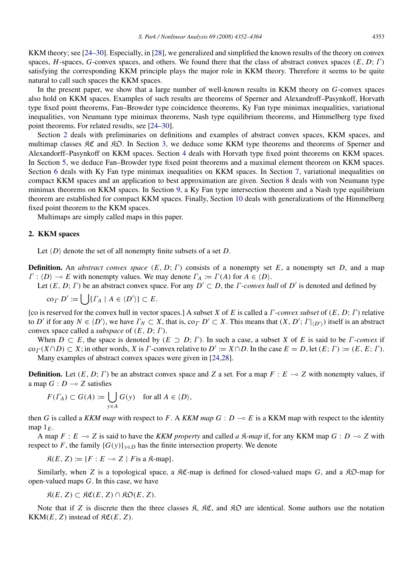KKM theory; see [\[24–30\]](#page-11-8). Especially, in [\[28\]](#page-12-0), we generalized and simplified the known results of the theory on convex spaces, *H*-spaces, *G*-convex spaces, and others. We found there that the class of abstract convex spaces (*E*, *D*; Γ) satisfying the corresponding KKM principle plays the major role in KKM theory. Therefore it seems to be quite natural to call such spaces the KKM spaces.

In the present paper, we show that a large number of well-known results in KKM theory on *G*-convex spaces also hold on KKM spaces. Examples of such results are theorems of Sperner and Alexandroff–Pasynkoff, Horvath type fixed point theorems, Fan–Browder type coincidence theorems, Ky Fan type minimax inequalities, variational inequalities, von Neumann type minimax theorems, Nash type equilibrium theorems, and Himmelberg type fixed point theorems. For related results, see [\[24–30\]](#page-11-8).

Section [2](#page-1-0) deals with preliminaries on definitions and examples of abstract convex spaces, KKM spaces, and multimap classes  $\mathcal{RC}$  and  $\mathcal{RD}$ . In Section [3,](#page-2-0) we deduce some KKM type theorems and theorems of Sperner and Alexandorff–Pasynkoff on KKM spaces. Section [4](#page-4-0) deals with Horvath type fixed point theorems on KKM spaces. In Section [5,](#page-5-0) we deduce Fan–Browder type fixed point theorems and a maximal element theorem on KKM spaces. Section [6](#page-6-0) deals with Ky Fan type minimax inequalities on KKM spaces. In Section [7,](#page-7-0) variational inequalities on compact KKM spaces and an application to best approximation are given. Section [8](#page-8-0) deals with von Neumann type minimax theorems on KKM spaces. In Section [9,](#page-9-0) a Ky Fan type intersection theorem and a Nash type equilibrium theorem are established for compact KKM spaces. Finally, Section [10](#page-10-0) deals with generalizations of the Himmelberg fixed point theorem to the KKM spaces.

Multimaps are simply called maps in this paper.

## <span id="page-1-0"></span>2. KKM spaces

Let  $\langle D \rangle$  denote the set of all nonempty finite subsets of a set *D*.

**Definition.** An *abstract convex space*  $(E, D; \Gamma)$  consists of a nonempty set *E*, a nonempty set *D*, and a map  $\Gamma : \langle D \rangle \longrightarrow E$  with nonempty values. We may denote  $\Gamma_A := \Gamma(A)$  for  $A \in \langle D \rangle$ .

Let  $(E, D; \Gamma)$  be an abstract convex space. For any  $D' \subset D$ , the  $\Gamma$ -*convex hull* of  $D'$  is denoted and defined by

$$
\operatorname{co}_{\varGamma} D' := \bigcup \{ \varGamma_A \mid A \in \langle D' \rangle \} \subset E.
$$

[co is reserved for the convex hull in vector spaces.] A subset *X* of *E* is called a Γ-*convex subset* of (*E*, *D*; Γ) relative to *D'* if for any  $N \in \langle D' \rangle$ , we have  $\Gamma_N \subset X$ , that is, co<sub>*Γ</sub>D'*  $\subset X$ . This means that  $(X, D'; \Gamma |_{\langle D' \rangle})$  itself is an abstract</sub> convex space called a *subspace* of (*E*, *D*; Γ).

When  $D \subset E$ , the space is denoted by  $(E \supset D; \Gamma)$ . In such a case, a subset *X* of *E* is said to be *Γ*-*convex* if  $\operatorname{co}_{\Gamma}(X \cap D) \subset X$ ; in other words, *X* is *Γ*-convex relative to  $D' := X \cap D$ . In the case  $E = D$ , let  $(E; \Gamma) := (E, E; \Gamma)$ . Many examples of abstract convex spaces were given in [\[24,](#page-11-8)[28\]](#page-12-0).

**Definition.** Let  $(E, D; \Gamma)$  be an abstract convex space and Z a set. For a map  $F : E \rightarrow Z$  with nonempty values, if a map  $G: D \longrightarrow Z$  satisfies

$$
F(\Gamma_A) \subset G(A) := \bigcup_{y \in A} G(y) \quad \text{for all } A \in \langle D \rangle,
$$

then *G* is called a *KKM map* with respect to *F*. A *KKM map*  $G : D \rightarrow E$  is a KKM map with respect to the identity map  $1_F$ .

A map  $F : E \to Z$  is said to have the *KKM property* and called *a*  $\mathcal{R}$ *-map* if, for any KKM map  $G : D \to Z$  with respect to *F*, the family  ${G(y)}_{y \in D}$  has the finite intersection property. We denote

 $\mathfrak{K}(E, Z) := \{ F : E \multimap Z \mid F \text{ is a } \mathfrak{K}\text{-map} \}.$ 

Similarly, when *Z* is a topological space, a  $\mathcal{RC}$ -map is defined for closed-valued maps *G*, and a  $\mathcal{RD}$ -map for open-valued maps *G*. In this case, we have

 $\mathfrak{K}(E, Z) \subset \mathfrak{KC}(E, Z) \cap \mathfrak{KD}(E, Z).$ 

Note that if *Z* is discrete then the three classes  $\mathfrak{K}$ ,  $\mathfrak{K}C$ , and  $\mathfrak{K}D$  are identical. Some authors use the notation KKM( $E$ ,  $Z$ ) instead of  $\Re\mathfrak{C}(E, Z)$ .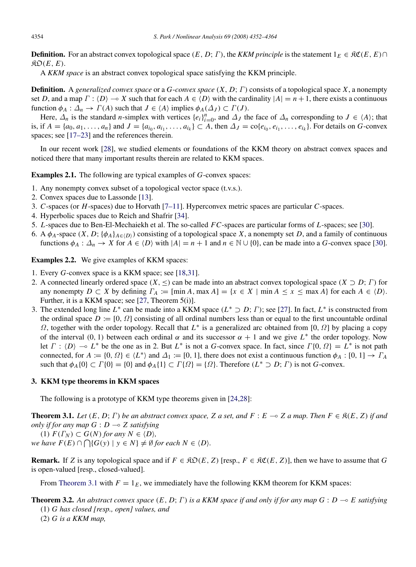**Definition.** For an abstract convex topological space  $(E, D; \Gamma)$ , the *KKM principle* is the statement  $1_E \in \mathcal{RC}(E, E) \cap$  $\mathfrak{RO}(E, E)$ .

A *KKM space* is an abstract convex topological space satisfying the KKM principle.

Definition. A *generalized convex space* or a *G*-*convex space* (*X*, *D*; Γ) consists of a topological space *X*, a nonempty set *D*, and a map  $\Gamma : \langle D \rangle \to X$  such that for each  $A \in \langle D \rangle$  with the cardinality  $|A| = n + 1$ , there exists a continuous function  $\phi_A : \Delta_n \to \Gamma(A)$  such that  $J \in \langle A \rangle$  implies  $\phi_A(\Delta_J) \subset \Gamma(J)$ .

Here,  $\Delta_n$  is the standard *n*-simplex with vertices  $\{e_i\}_{i=0}^n$ , and  $\Delta_j$  the face of  $\Delta_n$  corresponding to  $J \in \{A\}$ ; that is, if  $A = \{a_0, a_1, ..., a_n\}$  and  $J = \{a_{i_0}, a_{i_1}, ..., a_{i_k}\} \subset A$ , then  $\Delta_J = \text{co}\{e_{i_0}, e_{i_1}, ..., e_{i_k}\}$ . For details on G-convex spaces; see [\[17–23\]](#page-11-4) and the references therein.

In our recent work [\[28\]](#page-12-0), we studied elements or foundations of the KKM theory on abstract convex spaces and noticed there that many important results therein are related to KKM spaces.

Examples 2.1. The following are typical examples of *G*-convex spaces:

- 1. Any nonempty convex subset of a topological vector space (t.v.s.).
- 2. Convex spaces due to Lassonde [\[13\]](#page-11-6).
- 3. *C*-spaces (or *H*-spaces) due to Horvath [\[7–11\]](#page-11-7). Hyperconvex metric spaces are particular *C*-spaces.
- 4. Hyperbolic spaces due to Reich and Shafrir [\[34\]](#page-12-1).
- 5. *L*-spaces due to Ben-El-Mechaiekh et al. The so-called *FC*-spaces are particular forms of *L*-spaces; see [\[30\]](#page-12-2).
- 6. A  $\phi_A$ -space  $(X, D; {\phi_A}_{A \in (D)})$  consisting of a topological space X, a nonempty set D, and a family of continuous functions  $\phi_A : \Delta_n \to X$  for  $A \in \langle D \rangle$  with  $|A| = n + 1$  and  $n \in \mathbb{N} \cup \{0\}$ , can be made into a *G*-convex space [\[30\]](#page-12-2).

Examples 2.2. We give examples of KKM spaces:

- 1. Every *G*-convex space is a KKM space; see [\[18,](#page-11-9)[31\]](#page-12-3).
- 2. A connected linearly ordered space  $(X, \leq)$  can be made into an abstract convex topological space  $(X \supset D; \Gamma)$  for any nonempty  $D \subset X$  by defining  $\Gamma_A := [\min A, \max A] = \{x \in X \mid \min A \le x \le \max A\}$  for each  $A \in \langle D \rangle$ . Further, it is a KKM space; see [\[27,](#page-12-4) Theorem 5(i)].
- 3. The extended long line  $L^*$  can be made into a KKM space  $(L^* \supset D; \Gamma)$ ; see [\[27\]](#page-12-4). In fact,  $L^*$  is constructed from the ordinal space  $D := [0, \Omega]$  consisting of all ordinal numbers less than or equal to the first uncountable ordinal Ω, together with the order topology. Recall that *L* ∗ is a generalized arc obtained from [0, Ω] by placing a copy of the interval (0, 1) between each ordinal  $\alpha$  and its successor  $\alpha + 1$  and we give  $L^*$  the order topology. Now let  $\Gamma : \langle D \rangle \to L^*$  be the one as in 2. But  $L^*$  is not a *G*-convex space. In fact, since  $\Gamma \{0, \Omega\} = L^*$  is not path connected, for  $A := \{0, \Omega\} \in \{L^*\}\$  and  $\Delta_1 := [0, 1]$ , there does not exist a continuous function  $\phi_A : [0, 1] \to \Gamma_A$ such that  $\phi_A\{0\} \subset \Gamma\{0\} = \{0\}$  and  $\phi_A\{1\} \subset \Gamma\{\Omega\} = \{\Omega\}$ . Therefore  $(L^* \supset D; \Gamma)$  is not *G*-convex.

## <span id="page-2-0"></span>3. KKM type theorems in KKM spaces

<span id="page-2-1"></span>The following is a prototype of KKM type theorems given in [\[24](#page-11-8)[,28\]](#page-12-0):

**Theorem 3.1.** Let  $(E, D; \Gamma)$  be an abstract convex space, Z a set, and  $F : E \to Z$  a map. Then  $F \in \mathcal{R}(E, Z)$  if and *only if for any map*  $G : D \rightarrow Z$  *satisfying* 

 $(1)$   $F(\Gamma_N) \subset G(N)$  *for any*  $N \in \langle D \rangle$ *, we have*  $F(E) \cap \bigcap \{G(y) \mid y \in N\}$  ≠ Ø *for each*  $N \in \{D\}$ *.* 

**Remark.** If *Z* is any topological space and if  $F \in \mathcal{RO}(E, Z)$  [resp.,  $F \in \mathcal{RO}(E, Z)$ ], then we have to assume that *G* is open-valued [resp., closed-valued].

<span id="page-2-2"></span>From [Theorem 3.1](#page-2-1) with  $F = 1<sub>E</sub>$ , we immediately have the following KKM theorem for KKM spaces:

**Theorem 3.2.** An abstract convex space  $(E, D; \Gamma)$  is a KKM space if and only if for any map  $G: D \to E$  satisfying (1) *G has closed [resp., open] values, and*

(2) *G is a KKM map,*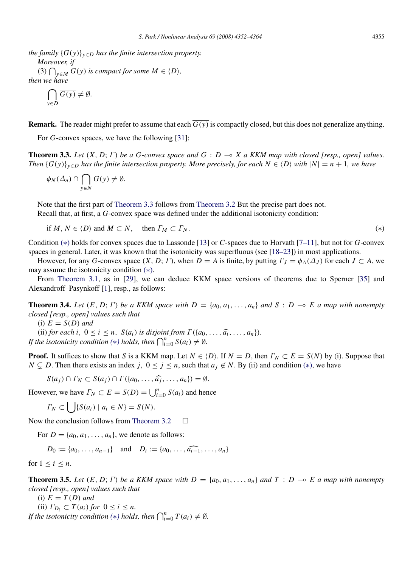*the family*  $\{G(y)\}_{y \in D}$  *has the finite intersection property. Moreover, if* (3)  $\bigcap_{y \in M} \overline{G(y)}$  *is compact for some*  $M \in \langle D \rangle$ *, then we have*

$$
\bigcap_{y \in D} \overline{G(y)} \neq \emptyset.
$$

**Remark.** The reader might prefer to assume that each  $\overline{G(y)}$  is compactly closed, but this does not generalize anything.

<span id="page-3-0"></span>For *G*-convex spaces, we have the following [\[31\]](#page-12-3):

**Theorem 3.3.** Let  $(X, D; \Gamma)$  be a G-convex space and  $G: D \to X$  a KKM map with closed [resp., open] values. *Then*  $\{G(y)\}_{y \in D}$  *has the finite intersection property. More precisely, for each*  $N \in \{D\}$  *with*  $|N| = n + 1$ *, we have* 

$$
\phi_N(\Delta_n) \cap \bigcap_{y \in N} G(y) \neq \emptyset.
$$

Note that the first part of [Theorem 3.3](#page-3-0) follows from [Theorem 3.2](#page-2-2) But the precise part does not. Recall that, at first, a *G*-convex space was defined under the additional isotonicity condition:

if 
$$
M, N \in \langle D \rangle
$$
 and  $M \subset N$ , then  $\Gamma_M \subset \Gamma_N$ . 
$$
\tag{*}
$$

Condition (∗) holds for convex spaces due to Lassonde [\[13\]](#page-11-6) or *C*-spaces due to Horvath [\[7–11\]](#page-11-7), but not for *G*-convex spaces in general. Later, it was known that the isotonicity was superfluous (see [\[18–23\]](#page-11-9)) in most applications.

However, for any *G*-convex space  $(X, D; \Gamma)$ , when  $D = A$  is finite, by putting  $\Gamma_J = \phi_A(\Delta_J)$  for each  $J \subset A$ , we may assume the isotonicity condition (∗).

From [Theorem 3.1,](#page-2-1) as in [\[29\]](#page-12-5), we can deduce KKM space versions of theorems due to Sperner [\[35\]](#page-12-6) and Alexandroff–Pasynkoff [\[1\]](#page-11-10), resp., as follows:

**Theorem 3.4.** Let  $(E, D; \Gamma)$  be a KKM space with  $D = \{a_0, a_1, \ldots, a_n\}$  and  $S: D \multimap E$  a map with nonempty *closed [resp., open] values such that*

 $(i) E = S(D)$  *and* 

(ii) *for each i*,  $0 \le i \le n$ ,  $S(a_i)$  *is disjoint from*  $\Gamma(\{a_0, \ldots, \hat{a_i}, \ldots, a_n\})$ . *If the isotonicity condition* (\*) *holds, then*  $\bigcap_{i=0}^{n} S(a_i) \neq \emptyset$ .

**Proof.** It suffices to show that *S* is a KKM map. Let  $N \in \{D\}$ . If  $N = D$ , then  $\Gamma_N \subset E = S(N)$  by (i). Suppose that *N* ⊆ *D*. Then there exists an index *j*,  $0 \le j \le n$ , such that  $a_j \notin N$ . By (ii) and condition (\*), we have

$$
S(a_j) \cap \Gamma_N \subset S(a_j) \cap \Gamma(\{a_0,\ldots,\widehat{a_j},\ldots,a_n\}) = \emptyset.
$$

However, we have  $\Gamma_N \subset E = S(D) = \bigcup_{i=0}^n S(a_i)$  and hence

 $\Gamma_N \subset \bigcup \{ S(a_i) \mid a_i \in N \} = S(N).$ 

Now the conclusion follows from [Theorem 3.2](#page-2-2)  $\Box$ 

For  $D = \{a_0, a_1, \ldots, a_n\}$ , we denote as follows:

$$
D_0 := \{a_0, \ldots, a_{n-1}\}\
$$
 and  $D_i := \{a_0, \ldots, \widehat{a_{i-1}}, \ldots, a_n\}$ 

for  $1 \leq i \leq n$ .

**Theorem 3.5.** Let  $(E, D; \Gamma)$  be a KKM space with  $D = \{a_0, a_1, \ldots, a_n\}$  and  $T : D \multimap E$  a map with nonempty *closed [resp., open] values such that*

 $(i) E = T(D)$  *and* (ii)  $\Gamma_{D_i} \subset T(a_i)$  *for*  $0 \leq i \leq n$ . *If the isotonicity condition* (\*) *holds, then*  $\bigcap_{i=0}^{n} T(a_i) \neq \emptyset$ *.*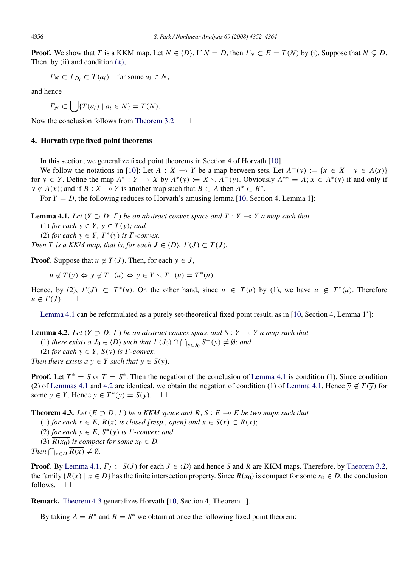**Proof.** We show that *T* is a KKM map. Let  $N \in \{D\}$ . If  $N = D$ , then  $\Gamma_N \subset E = T(N)$  by (i). Suppose that  $N \subset D$ . Then, by (ii) and condition  $(*)$ ,

 $\Gamma_N \subset \Gamma_{D_i} \subset T(a_i)$  for some  $a_i \in N$ ,

and hence

 $\Gamma_N \subset \bigcup \{ T(a_i) \mid a_i \in N \} = T(N).$ 

Now the conclusion follows from [Theorem 3.2](#page-2-2)  $\Box$ 

# <span id="page-4-0"></span>4. Horvath type fixed point theorems

In this section, we generalize fixed point theorems in Section 4 of Horvath [\[10\]](#page-11-11).

We follow the notations in [\[10\]](#page-11-11): Let  $A : X \to Y$  be a map between sets. Let  $A^{-}(y) := \{x \in X \mid y \in A(x)\}\$ for  $y \in Y$ . Define the map  $A^* : Y \to X$  by  $A^*(y) := X \setminus A^-(y)$ . Obviously  $A^{**} = A; x \in A^*(y)$  if and only if  $y \notin A(x)$ ; and if  $B : X \to Y$  is another map such that  $B \subset A$  then  $A^* \subset B^*$ .

For  $Y = D$ , the following reduces to Horvath's amusing lemma [\[10,](#page-11-11) Section 4, Lemma 1]:

**Lemma 4.1.** *Let*  $(Y \supset D; \Gamma)$  *be an abstract convex space and*  $T: Y \rightarrow Y$  *a map such that* 

<span id="page-4-1"></span>(1) *for each*  $y \in Y$ *,*  $y \in T(y)$ *; and* 

 $(2)$  *for each*  $y \in Y$ ,  $T^*(y)$  *is*  $\Gamma$ *-convex.* 

*Then T is a KKM map, that is, for each*  $J \in \langle D \rangle$ *,*  $\Gamma(J) \subset \Gamma(J)$ *.* 

**Proof.** Suppose that  $u \notin T(J)$ . Then, for each  $y \in J$ ,

 $u \notin T(y) \Leftrightarrow y \notin T^-(u) \Leftrightarrow y \in Y \setminus T^-(u) = T^*(u).$ 

Hence, by (2),  $\Gamma(J) \subset T^*(u)$ . On the other hand, since  $u \in T(u)$  by (1), we have  $u \notin T^*(u)$ . Therefore  $u \notin \Gamma(J)$ .  $\square$ 

<span id="page-4-2"></span>[Lemma 4.1](#page-4-1) can be reformulated as a purely set-theoretical fixed point result, as in [\[10,](#page-11-11) Section 4, Lemma 1']:

**Lemma 4.2.** Let  $(Y \supset D; \Gamma)$  be an abstract convex space and  $S: Y \to Y$  a map such that

(1) *there exists a*  $J_0 \in \langle D \rangle$  *such that*  $\Gamma(J_0) \cap \bigcap_{y \in J_0} S^-(y) \neq \emptyset$ *; and* 

(2) *for each*  $y \in Y$ *,*  $S(y)$  *is*  $\Gamma$ *-convex.* 

*Then there exists a*  $\overline{y} \in Y$  *such that*  $\overline{y} \in S(\overline{y})$ *.* 

**Proof.** Let  $T^* = S$  or  $T = S^*$ . Then the negation of the conclusion of [Lemma 4.1](#page-4-1) is condition (1). Since condition (2) of [Lemmas 4.1](#page-4-1) and [4.2](#page-4-2) are identical, we obtain the negation of condition (1) of [Lemma 4.1.](#page-4-1) Hence  $\overline{y} \notin T(\overline{y})$  for some  $\overline{y} \in Y$ . Hence  $\overline{y} \in T^*(\overline{y}) = S(\overline{y})$ .  $\Box$ 

**Theorem 4.3.** Let  $(E \supset D; \Gamma)$  be a KKM space and R, S :  $E \rightarrow E$  be two maps such that

<span id="page-4-3"></span>(1) *for each*  $x \in E$ ,  $R(x)$  *is closed [resp., open] and*  $x \in S(x)$  ⊂  $R(x)$ ;

(2) *for each*  $y \in E$ ,  $S^*(y)$  *is*  $\Gamma$ *-convex; and* 

(3)  $\overline{R(x_0)}$  *is compact for some*  $x_0 \in D$ .

*Then*  $\bigcap_{x \in D} \overline{R(x)} \neq \emptyset$ *.* 

**Proof.** By [Lemma 4.1,](#page-4-1)  $\Gamma_J \subset S(J)$  for each  $J \in \langle D \rangle$  and hence *S* and *R* are KKM maps. Therefore, by [Theorem 3.2,](#page-2-2) the family  $\{R(x) \mid x \in D\}$  has the finite intersection property. Since  $R(x_0)$  is compact for some  $x_0 \in D$ , the conclusion follows.  $\square$ 

Remark. [Theorem 4.3](#page-4-3) generalizes Horvath [\[10,](#page-11-11) Section 4, Theorem 1].

By taking  $A = R^*$  and  $B = S^*$  we obtain at once the following fixed point theorem: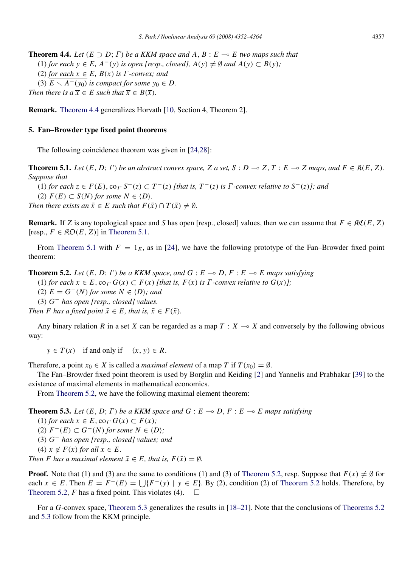<span id="page-5-1"></span>**Theorem 4.4.** Let  $(E \supset D; \Gamma)$  be a KKM space and A,  $B: E \to E$  two maps such that (1) *for each*  $y \in E$ ,  $A^{-}(y)$  *is open [resp., closed]*,  $A(y) \neq \emptyset$  *and*  $A(y) \subset B(y)$ ; (2) *for each*  $x \in E$ *,*  $B(x)$  *is*  $\Gamma$ *-convex; and* (3)  $E \setminus A^{-}(y_0)$  *is compact for some*  $y_0 \in D$ . *Then there is a*  $\overline{x} \in E$  *such that*  $\overline{x} \in B(\overline{x})$ *.* 

Remark. [Theorem 4.4](#page-5-1) generalizes Horvath [\[10,](#page-11-11) Section 4, Theorem 2].

## <span id="page-5-0"></span>5. Fan–Browder type fixed point theorems

<span id="page-5-2"></span>The following coincidence theorem was given in [\[24](#page-11-8)[,28\]](#page-12-0):

**Theorem 5.1.** Let  $(E, D; \Gamma)$  be an abstract convex space, Z a set, S :  $D \to Z$ , T :  $E \to Z$  maps, and  $F \in \mathcal{R}(E, Z)$ . *Suppose that*

 $(1)$  *for each*  $z \in F(E)$ ,  $\text{co}_{\Gamma} S^{-}(z) \subset T^{-}(z)$  *[that is,*  $T^{-}(z)$  *is*  $\Gamma$ *-convex relative to*  $S^{-}(z)$ *]; and* 

 $(2)$   $F(E) \subset S(N)$  *for some*  $N \in \langle D \rangle$ *.* 

*Then there exists an*  $\bar{x} \in E$  *such that*  $F(\bar{x}) \cap T(\bar{x}) \neq \emptyset$ *.* 

**Remark.** If *Z* is any topological space and *S* has open [resp., closed] values, then we can assume that  $F \in \mathcal{RC}(E, Z)$  $[resp., F \in \mathcal{RO}(E, Z)]$  in [Theorem 5.1.](#page-5-2)

From [Theorem 5.1](#page-5-2) with  $F = 1<sub>E</sub>$ , as in [\[24\]](#page-11-8), we have the following prototype of the Fan–Browder fixed point theorem:

**Theorem 5.2.** Let  $(E, D; \Gamma)$  be a KKM space, and  $G : E \to D, F : E \to E$  maps satisfying

<span id="page-5-3"></span>(1) *for each*  $x \in E$ ,  $\text{co}_{\Gamma} G(x) \subset F(x)$  *[that is, F(x) is*  $\Gamma$ *-convex relative to*  $G(x)$ *]*;

(2)  $E = G^{-}(N)$  *for some*  $N ∈ \langle D \rangle$ *; and* 

(3) *G* <sup>−</sup> *has open [resp., closed] values.*

*Then F* has a fixed point  $\bar{x} \in E$ , that is,  $\bar{x} \in F(\bar{x})$ .

Any binary relation *R* in a set *X* can be regarded as a map  $T : X \rightarrow X$  and conversely by the following obvious way:

 $y \in T(x)$  if and only if  $(x, y) \in R$ .

Therefore, a point  $x_0 \in X$  is called a *maximal element* of a map *T* if  $T(x_0) = \emptyset$ .

The Fan–Browder fixed point theorem is used by Borglin and Keiding [\[2\]](#page-11-12) and Yannelis and Prabhakar [\[39\]](#page-12-7) to the existence of maximal elements in mathematical economics.

<span id="page-5-4"></span>From [Theorem 5.2,](#page-5-3) we have the following maximal element theorem:

**Theorem 5.3.** Let  $(E, D; \Gamma)$  be a KKM space and  $G : E \to D, F : E \to E$  maps satisfying

 $(1)$  *for each*  $x \in E$ ,  $\text{co}_{\Gamma} G(x) \subset F(x)$ ;

 $(2)$   $F<sup>−</sup>(E)$  ⊂  $G<sup>−</sup>(N)$  *for some*  $N \in \langle D \rangle$ *;* 

(3) *G* <sup>−</sup> *has open [resp., closed] values; and*

 $(4)$   $x \notin F(x)$  *for all*  $x \in E$ .

*Then F* has a maximal element  $\bar{x} \in E$ , that is,  $F(\bar{x}) = \emptyset$ .

**Proof.** Note that (1) and (3) are the same to conditions (1) and (3) of [Theorem 5.2,](#page-5-3) resp. Suppose that  $F(x) \neq \emptyset$  for each *x* ∈ *E*. Then  $E = F^{-}(E) = \bigcup \{F^{-}(y) | y \in E\}$ . By (2), condition (2) of [Theorem 5.2](#page-5-3) holds. Therefore, by [Theorem 5.2,](#page-5-3) *F* has a fixed point. This violates (4).  $\Box$ 

For a *G*-convex space, [Theorem 5.3](#page-5-4) generalizes the results in [\[18–21\]](#page-11-9). Note that the conclusions of [Theorems 5.2](#page-5-3) and [5.3](#page-5-4) follow from the KKM principle.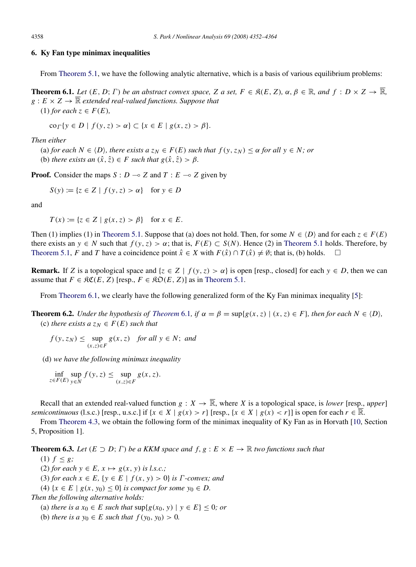# <span id="page-6-0"></span>6. Ky Fan type minimax inequalities

<span id="page-6-1"></span>From [Theorem 5.1,](#page-5-2) we have the following analytic alternative, which is a basis of various equilibrium problems:

**Theorem 6.1.** Let  $(E, D; \Gamma)$  be an abstract convex space, Z a set,  $F \in \mathcal{R}(E, Z)$ ,  $\alpha, \beta \in \mathbb{R}$ , and  $f: D \times Z \to \mathbb{R}$ ,  $g: E \times Z \to \overline{\mathbb{R}}$  *extended real-valued functions. Suppose that* 

(1) *for each*  $z \in F(E)$ ,

$$
\operatorname{co}_{\varGamma}\{y \in D \mid f(y, z) > \alpha\} \subset \{x \in E \mid g(x, z) > \beta\}.
$$

*Then either*

(a) *for each*  $N \in \{D\}$ *, there exists a*  $z_N \in F(E)$  *such that*  $f(y, z_N) \leq \alpha$  *for all*  $y \in N$ *; or* 

(b) *there exists an*  $(\hat{x}, \hat{z}) \in F$  *such that*  $g(\hat{x}, \hat{z}) > \beta$ *.* 

**Proof.** Consider the maps  $S : D \to Z$  and  $T : E \to Z$  given by

$$
S(y) := \{ z \in Z \mid f(y, z) > \alpha \} \quad \text{for } y \in D
$$

and

$$
T(x) := \{ z \in Z \mid g(x, z) > \beta \} \quad \text{for } x \in E.
$$

Then (1) implies (1) in [Theorem 5.1.](#page-5-2) Suppose that (a) does not hold. Then, for some  $N \in \langle D \rangle$  and for each  $z \in F(E)$ there exists an  $y \in N$  such that  $f(y, z) > \alpha$ ; that is,  $F(E) \subset S(N)$ . Hence (2) in [Theorem 5.1](#page-5-2) holds. Therefore, by [Theorem 5.1,](#page-5-2) *F* and *T* have a coincidence point  $\hat{x} \in X$  with  $F(\hat{x}) \cap T(\hat{x}) \neq \emptyset$ ; that is, (b) holds.  $\square$ 

**Remark.** If *Z* is a topological space and  $\{z \in Z \mid f(y, z) > \alpha\}$  is open [resp., closed] for each  $y \in D$ , then we can assume that  $F \in \mathfrak{RC}(E, Z)$  [resp.,  $F \in \mathfrak{RO}(E, Z)$ ] as in [Theorem 5.1.](#page-5-2)

<span id="page-6-2"></span>From [Theorem 6.1,](#page-6-1) we clearly have the following generalized form of the Ky Fan minimax inequality [\[5\]](#page-11-13):

**[Theorem](#page-6-1) 6.2.** *Under the hypothesis of Theorem* 6.1, if  $\alpha = \beta = \sup\{g(x, z) | (x, z) \in F\}$ *, then for each*  $N \in \langle D \rangle$ *,* (c) *there exists a*  $z_N \in F(E)$  *such that* 

$$
f(y, z_N) \le \sup_{(x, z) \in F} g(x, z)
$$
 for all  $y \in N$ ; and

(d) *we have the following minimax inequality*

 $\inf_{z \in F(E)} \sup_{y \in N}$ *y*∈*N*  $f(y, z) \leq$  sup (*x*,*z*)∈*F g*(*x*,*z*).

Recall that an extended real-valued function  $g: X \to \overline{\mathbb{R}}$ , where X is a topological space, is *lower* [resp., *upper*] *semicontinuous* (l.s.c.) [resp., u.s.c.] if  $\{x \in X \mid g(x) > r\}$  [resp.,  $\{x \in X \mid g(x) < r\}$ ] is open for each  $r \in \mathbb{R}$ .

From [Theorem 4.3,](#page-4-3) we obtain the following form of the minimax inequality of Ky Fan as in Horvath [\[10,](#page-11-11) Section 5, Proposition 1].

**Theorem 6.3.** Let  $(E \supset D; \Gamma)$  be a KKM space and  $f, g: E \times E \to \mathbb{R}$  two functions such that

- (1)  $f \leq g$ ;
- (2) *for each*  $y \in E$ ,  $x \mapsto g(x, y)$  *is l.s.c.*;

(3) *for each*  $x \in E$ ,  $\{y \in E \mid f(x, y) > 0\}$  *is*  $\Gamma$ *-convex; and* 

(4) {*x* ∈ *E* | *g*(*x*, *y*<sub>0</sub>) ≤ 0} *is compact for some y*<sub>0</sub> ∈ *D*.

*Then the following alternative holds:*

(a) *there is a*  $x_0 \in E$  *such that*  $\sup\{g(x_0, y) \mid y \in E\} \leq 0$ *; or* 

(b) *there is a*  $y_0 \in E$  *such that*  $f(y_0, y_0) > 0$ *.*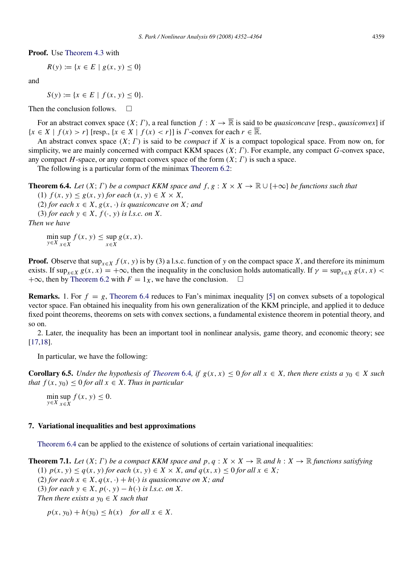$$
R(y) := \{ x \in E \mid g(x, y) \le 0 \}
$$

and

 $S(y) := \{x \in E \mid f(x, y) \leq 0\}.$ 

Then the conclusion follows.  $\Box$ 

For an abstract convex space  $(X; \Gamma)$ , a real function  $f: X \to \overline{\mathbb{R}}$  is said to be *quasiconcave* [resp., *quasiconvex*] if  ${x \in X \mid f(x) > r}$  [resp.,  ${x \in X \mid f(x) < r}$ ] is *Γ*-convex for each  $r \in \overline{\mathbb{R}}$ .

An abstract convex space (*X*; Γ) is said to be *compact* if *X* is a compact topological space. From now on, for simplicity, we are mainly concerned with compact KKM spaces (*X*; Γ). For example, any compact *G*-convex space, any compact *H*-space, or any compact convex space of the form  $(X; \Gamma)$  is such a space.

The following is a particular form of the minimax [Theorem 6.2:](#page-6-2)

**Theorem 6.4.** *Let*  $(X; \Gamma)$  *be a compact KKM space and*  $f, g: X \times X \to \mathbb{R} \cup \{+\infty\}$  *be functions such that* 

<span id="page-7-1"></span>(1)  $f(x, y) \leq g(x, y)$  *for each*  $(x, y) \in X \times X$ ,

(2) *for each*  $x \in X$ ,  $g(x, \cdot)$  *is quasiconcave on* X; *and* 

(3) *for each*  $y \in X$ ,  $f(\cdot, y)$  *is l.s.c. on* X.

*Then we have*

min sup<br>*y*∈*X*  $_{x∈X}$ *x*∈*X*  $f(x, y) \leq \sup$ *x*∈*X g*(*x*, *x*).

**Proof.** Observe that  $\sup_{x \in X} f(x, y)$  is by (3) a l.s.c. function of y on the compact space X, and therefore its minimum exists. If  $\sup_{x \in X} g(x, x) = +\infty$ , then the inequality in the conclusion holds automatically. If  $\gamma = \sup_{x \in X} g(x, x)$  $+\infty$ , then by [Theorem 6.2](#page-6-2) with  $F = 1_X$ , we have the conclusion.  $\square$ 

**Remarks.** 1. For  $f = g$ , [Theorem 6.4](#page-7-1) reduces to Fan's minimax inequality [\[5\]](#page-11-13) on convex subsets of a topological vector space. Fan obtained his inequality from his own generalization of the KKM principle, and applied it to deduce fixed point theorems, theorems on sets with convex sections, a fundamental existence theorem in potential theory, and so on.

2. Later, the inequality has been an important tool in nonlinear analysis, game theory, and economic theory; see [\[17](#page-11-4)[,18\]](#page-11-9).

In particular, we have the following:

**Corollary 6.5.** *Under the hypothesis of [Theorem](#page-7-1)* 6.4, if  $g(x, x) \leq 0$  *for all*  $x \in X$ *, then there exists a*  $y_0 \in X$  *such that*  $f(x, y_0) \leq 0$  *for all*  $x \in X$ *. Thus in particular* 

<span id="page-7-2"></span>min sup<br>*y*∈*X*<sub>x∈</sub>*x x*∈*X f* (*x*, *y*)  $\leq$  0.

## <span id="page-7-0"></span>7. Variational inequalities and best approximations

[Theorem 6.4](#page-7-1) can be applied to the existence of solutions of certain variational inequalities:

**Theorem 7.1.** Let  $(X; \Gamma)$  be a compact KKM space and p,  $q: X \times X \to \mathbb{R}$  and  $h: X \to \mathbb{R}$  functions satisfying

<span id="page-7-3"></span>(1)  $p(x, y) \leq q(x, y)$  *for each*  $(x, y) \in X \times X$ *, and*  $q(x, x) \leq 0$  *for all*  $x \in X$ *;* 

(2) *for each*  $x \in X$ ,  $q(x, \cdot) + h(\cdot)$  *is quasiconcave on* X; *and* 

(3) *for each*  $y \in X$ ,  $p(\cdot, y) - h(\cdot)$  *is l.s.c. on* X.

*Then there exists a*  $y_0 \in X$  *such that* 

 $p(x, y_0) + h(y_0) \leq h(x)$  *for all*  $x \in X$ .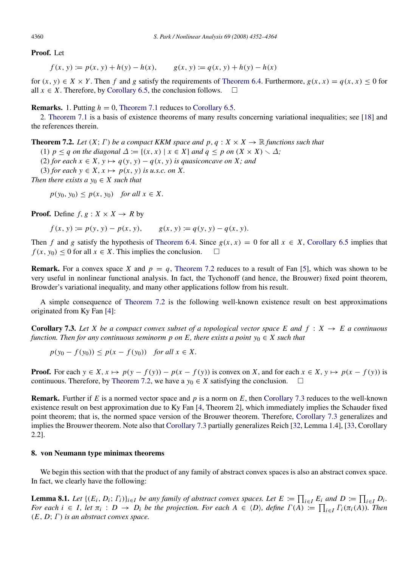## Proof. Let

 $f(x, y) := p(x, y) + h(y) - h(x),$   $g(x, y) := q(x, y) + h(y) - h(x)$ 

for  $(x, y) \in X \times Y$ . Then *f* and *g* satisfy the requirements of [Theorem 6.4.](#page-7-1) Furthermore,  $g(x, x) = g(x, x) \leq 0$  for all  $x \in X$ . Therefore, by [Corollary 6.5,](#page-7-2) the conclusion follows.  $\square$ 

## **Remarks.** 1. Putting  $h = 0$ , [Theorem 7.1](#page-7-3) reduces to [Corollary 6.5.](#page-7-2)

2. [Theorem 7.1](#page-7-3) is a basis of existence theorems of many results concerning variational inequalities; see [\[18\]](#page-11-9) and the references therein.

**Theorem 7.2.** Let  $(X; \Gamma)$  be a compact KKM space and p,  $q: X \times X \to \mathbb{R}$  functions such that

<span id="page-8-1"></span>(1)  $p \leq q$  *on the diagonal*  $\Delta := \{(x, x) \mid x \in X\}$  *and*  $q \leq p$  *on*  $(X \times X) \setminus \Delta$ *;* 

(2) *for each*  $x \in X$ ,  $y \mapsto q(y, y) - q(x, y)$  *is quasiconcave on* X; *and* 

(3) *for each*  $y \in X$ ,  $x \mapsto p(x, y)$  *is u.s.c. on* X.

*Then there exists a*  $y_0 \in X$  *such that* 

 $p(y_0, y_0) \leq p(x, y_0)$  *for all*  $x \in X$ .

**Proof.** Define  $f, g: X \times X \rightarrow R$  by

 $f(x, y) := p(y, y) - p(x, y),$   $g(x, y) := q(y, y) - q(x, y).$ 

Then *f* and *g* satisfy the hypothesis of [Theorem 6.4.](#page-7-1) Since  $g(x, x) = 0$  for all  $x \in X$ , [Corollary 6.5](#page-7-2) implies that  $f(x, y_0) < 0$  for all  $x \in X$ . This implies the conclusion.  $\square$ 

**Remark.** For a convex space *X* and  $p = q$ , [Theorem 7.2](#page-8-1) reduces to a result of Fan [\[5\]](#page-11-13), which was shown to be very useful in nonlinear functional analysis. In fact, the Tychonoff (and hence, the Brouwer) fixed point theorem, Browder's variational inequality, and many other applications follow from his result.

A simple consequence of [Theorem 7.2](#page-8-1) is the following well-known existence result on best approximations originated from Ky Fan [\[4\]](#page-11-14):

**Corollary 7.3.** Let X be a compact convex subset of a topological vector space E and  $f : X \rightarrow E$  a continuous *function. Then for any continuous seminorm p on E, there exists a point*  $y_0 \in X$  *such that* 

<span id="page-8-2"></span> $p(y_0 - f(y_0)) \leq p(x - f(y_0))$  *for all*  $x \in X$ .

**Proof.** For each  $y \in X$ ,  $x \mapsto p(y - f(y)) - p(x - f(y))$  is convex on X, and for each  $x \in X$ ,  $y \mapsto p(x - f(y))$  is continuous. Therefore, by [Theorem 7.2,](#page-8-1) we have a  $y_0 \in X$  satisfying the conclusion.  $\square$ 

Remark. Further if *E* is a normed vector space and *p* is a norm on *E*, then [Corollary 7.3](#page-8-2) reduces to the well-known existence result on best approximation due to Ky Fan [\[4,](#page-11-14) Theorem 2], which immediately implies the Schauder fixed point theorem; that is, the normed space version of the Brouwer theorem. Therefore, [Corollary 7.3](#page-8-2) generalizes and implies the Brouwer theorem. Note also that [Corollary 7.3](#page-8-2) partially generalizes Reich [\[32,](#page-12-8) Lemma 1.4], [\[33,](#page-12-9) Corollary 2.2].

## <span id="page-8-0"></span>8. von Neumann type minimax theorems

We begin this section with that the product of any family of abstract convex spaces is also an abstract convex space. In fact, we clearly have the following:

**Lemma 8.1.** Let  $\{(E_i, D_i; \Gamma_i)\}_{i \in I}$  be any family of abstract convex spaces. Let  $E := \prod_{i \in I} E_i$  and  $D := \prod_{i \in I} D_i$ . *For each*  $i \in I$ , let  $\pi_i : D \to D_i$  be the projection. For each  $A \in \langle D \rangle$ , define  $\Gamma(A) := \prod_{i \in I} \Gamma_i(\pi_i(A))$ . Then (*E*, *D*; Γ) *is an abstract convex space.*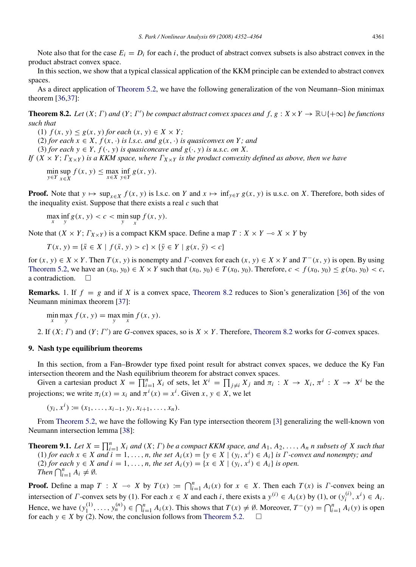Note also that for the case  $E_i = D_i$  for each *i*, the product of abstract convex subsets is also abstract convex in the product abstract convex space.

In this section, we show that a typical classical application of the KKM principle can be extended to abstract convex spaces.

As a direct application of [Theorem 5.2,](#page-5-3) we have the following generalization of the von Neumann–Sion minimax theorem [\[36,](#page-12-10)[37\]](#page-12-11):

**Theorem 8.2.** *Let*  $(X; \Gamma)$  *and*  $(Y; \Gamma')$  *be compact abstract convex spaces and*  $f, g: X \times Y \to \mathbb{R} \cup \{+\infty\}$  *be functions such that*

<span id="page-9-1"></span>(1)  $f(x, y) \leq g(x, y)$  *for each*  $(x, y) \in X \times Y$ ;

(2) *for each*  $x \in X$ ,  $f(x, \cdot)$  *is l.s.c. and*  $g(x, \cdot)$  *is quasiconvex on* Y; *and* 

(3) *for each*  $y \in Y$ ,  $f(\cdot, y)$  *is quasiconcave and*  $g(\cdot, y)$  *is u.s.c. on* X.

*If*  $(X \times Y; \Gamma_{X \times Y})$  *is a KKM space, where*  $\Gamma_{X \times Y}$  *is the product convexity defined as above, then we have* 

min sup<br>*y*∈*Y*<sub>x∈</sub>*x x*∈*X*  $f(x, y) \le \max_{x \in X} \inf_{y \in Y} g(x, y).$ 

**Proof.** Note that  $y \mapsto \sup_{x \in X} f(x, y)$  is l.s.c. on *Y* and  $x \mapsto \inf_{y \in Y} g(x, y)$  is u.s.c. on *X*. Therefore, both sides of the inequality exist. Suppose that there exists a real *c* such that

 $\max_{x} \inf_{y} g(x, y) < c < \min_{y} \sup_{x} f(x, y).$ 

Note that  $(X \times Y; T_{X \times Y})$  is a compact KKM space. Define a map  $T: X \times Y \to X \times Y$  by

$$
T(x, y) = \{ \bar{x} \in X \mid f(\bar{x}, y) > c \} \times \{ \bar{y} \in Y \mid g(x, \bar{y}) < c \}
$$

for  $(x, y) \in X \times Y$ . Then  $T(x, y)$  is nonempty and  $\Gamma$ -convex for each  $(x, y) \in X \times Y$  and  $T^{-}(x, y)$  is open. By using [Theorem 5.2,](#page-5-3) we have an  $(x_0, y_0) \in X \times Y$  such that  $(x_0, y_0) \in T(x_0, y_0)$ . Therefore,  $c < f(x_0, y_0) \le g(x_0, y_0) < c$ , a contradiction.  $\Box$ 

**Remarks.** 1. If  $f = g$  and if *X* is a convex space, [Theorem 8.2](#page-9-1) reduces to Sion's generalization [\[36\]](#page-12-10) of the von Neumann minimax theorem [\[37\]](#page-12-11):

$$
\min_{x} \max_{y} f(x, y) = \max_{y} \min_{x} f(x, y).
$$

2. If  $(X; \Gamma)$  and  $(Y; \Gamma')$  are *G*-convex spaces, so is  $X \times Y$ . Therefore, [Theorem 8.2](#page-9-1) works for *G*-convex spaces.

# <span id="page-9-0"></span>9. Nash type equilibrium theorems

In this section, from a Fan–Browder type fixed point result for abstract convex spaces, we deduce the Ky Fan intersection theorem and the Nash equilibrium theorem for abstract convex spaces.

Given a cartesian product  $X = \prod_{i=1}^{n} X_i$  of sets, let  $X^i = \prod_{j \neq i} X_j$  and  $\pi_i : X \to X_i$ ,  $\pi^i : X \to X^i$  be the projections; we write  $\pi_i(x) = x_i$  and  $\pi^i(x) = x^i$ . Given  $x, y \in X$ , we let

 $(y_i, x^i) := (x_1, \ldots, x_{i-1}, y_i, x_{i+1}, \ldots, x_n).$ 

From [Theorem 5.2,](#page-5-3) we have the following Ky Fan type intersection theorem [\[3\]](#page-11-5) generalizing the well-known von Neumann intersection lemma [\[38\]](#page-12-12):

<span id="page-9-2"></span>**Theorem 9.1.** Let  $X = \prod_{i=1}^n X_i$  and  $(X; \Gamma)$  be a compact KKM space, and  $A_1, A_2, \ldots, A_n$  *n* subsets of X such that  $(1)$  *for each*  $x \in X$  *and*  $i = 1, ..., n$ , the set  $A_i(x) = \{y \in X \mid (y_i, x^i) \in A_i\}$  is  $\Gamma$ -convex and nonempty; and (2) *for each y* ∈ *X and i* = 1, ..., *n*, *the set*  $A_i(y) = \{x \in X \mid (y_i, x^i) \in A_i\}$  *is open. Then*  $\bigcap_{i=1}^{n} A_i \neq \emptyset$ .

**Proof.** Define a map  $T : X \to X$  by  $T(x) := \bigcap_{i=1}^{n} A_i(x)$  for  $x \in X$ . Then each  $T(x)$  is  $\Gamma$ -convex being an intersection of *Γ*-convex sets by (1). For each  $x \in X$  and each *i*, there exists a  $y^{(i)} \in A_i(x)$  by (1), or  $(y_i^{(i)})$  $a_i^{(i)}, x^i) \in A_i$ . Hence, we have  $(y_1^{(1)}$  $y_1^{(1)}, \ldots, y_n^{(n)}$  ∈  $\bigcap_{i=1}^n A_i(x)$ . This shows that  $T(x) \neq \emptyset$ . Moreover,  $T^{-}(y) = \bigcap_{i=1}^n A_i(y)$  is open for each  $y \in X$  by (2). Now, the conclusion follows from [Theorem 5.2.](#page-5-3)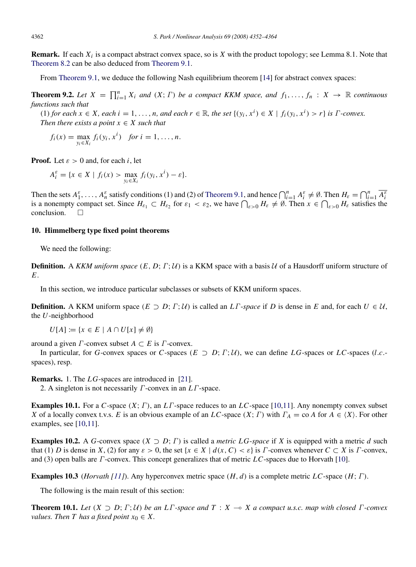Remark. If each *X<sup>i</sup>* is a compact abstract convex space, so is *X* with the product topology; see Lemma 8.1. Note that [Theorem 8.2](#page-9-1) can be also deduced from [Theorem 9.1.](#page-9-2)

From [Theorem 9.1,](#page-9-2) we deduce the following Nash equilibrium theorem [\[14\]](#page-11-15) for abstract convex spaces:

**Theorem 9.2.** Let  $X = \prod_{i=1}^{n} X_i$  and  $(X; \Gamma)$  be a compact KKM space, and  $f_1, \ldots, f_n : X \to \mathbb{R}$  continuous *functions such that*

(1) for each  $x \in X$ , each  $i = 1, ..., n$ , and each  $r \in \mathbb{R}$ , the set  $\{(y_i, x^i) \in X \mid f_i(y_i, x^i) > r\}$  is  $\Gamma$ -convex. *Then there exists a point*  $x \in X$  *such that* 

$$
f_i(x) = \max_{y_i \in X_i} f_i(y_i, x^i) \quad \text{for } i = 1, \dots, n.
$$

**Proof.** Let  $\varepsilon > 0$  and, for each *i*, let

$$
A_i^{\varepsilon} = \{x \in X \mid f_i(x) > \max_{y_i \in X_i} f_i(y_i, x^i) - \varepsilon\}.
$$

Then the sets  $A_1^{\varepsilon}, \ldots, A_n^{\varepsilon}$  satisfy conditions (1) and (2) of [Theorem 9.1,](#page-9-2) and hence  $\bigcap_{i=1}^n A_i^{\varepsilon} \neq \emptyset$ . Then  $H_{\varepsilon} = \bigcap_{i=1}^n \overline{A_i^{\varepsilon}}$ is a nonempty compact set. Since  $H_{\varepsilon_1} \subset H_{\varepsilon_2}$  for  $\varepsilon_1 < \varepsilon_2$ , we have  $\bigcap_{\varepsilon > 0} H_{\varepsilon} \neq \emptyset$ . Then  $x \in \bigcap_{\varepsilon > 0} H_{\varepsilon}$  satisfies the conclusion.  $\square$ 

#### <span id="page-10-0"></span>10. Himmelberg type fixed point theorems

We need the following:

**Definition.** A *KKM uniform space*  $(E, D; \Gamma; \mathcal{U})$  is a KKM space with a basis  $\mathcal{U}$  of a Hausdorff uniform structure of *E*.

In this section, we introduce particular subclasses or subsets of KKM uniform spaces.

**Definition.** A KKM uniform space  $(E \supset D; \Gamma; \mathcal{U})$  is called an *LΓ*-*space* if *D* is dense in *E* and, for each  $U \in \mathcal{U}$ , the *U*-neighborhood

 $U[A] := \{x \in E \mid A \cap U[x] \neq \emptyset\}$ 

around a given  $\Gamma$ -convex subset  $A \subset E$  is  $\Gamma$ -convex.

In particular, for *G*-convex spaces or *C*-spaces ( $E \supset D$ ;  $\Gamma$ ;  $\mathcal{U}$ ), we can define *LG*-spaces or *LC*-spaces (*l.c.*spaces), resp.

Remarks. 1. The *LG*-spaces are introduced in [\[21\]](#page-11-16).

2. A singleton is not necessarily Γ-convex in an *L*Γ-space.

Examples 10.1. For a *C*-space (*X*; Γ), an *L*Γ-space reduces to an *LC*-space [\[10](#page-11-11)[,11\]](#page-11-17). Any nonempty convex subset *X* of a locally convex t.v.s. *E* is an obvious example of an *LC*-space  $(X; \Gamma)$  with  $\Gamma_A = \text{co } A$  for  $A \in \{X\}$ . For other examples, see [\[10](#page-11-11)[,11\]](#page-11-17).

**Examples 10.2.** A *G*-convex space  $(X \supset D; \Gamma)$  is called a *metric LG-space* if *X* is equipped with a metric *d* such that (1) *D* is dense in *X*, (2) for any  $\varepsilon > 0$ , the set { $x \in X \mid d(x, C) < \varepsilon$ } is *Γ*-convex whenever  $C \subset X$  is *Γ*-convex, and (3) open balls are Γ-convex. This concept generalizes that of metric *LC*-spaces due to Horvath [\[10\]](#page-11-11).

Examples 10.3 (*Horvath [\[11\]](#page-11-17)*). Any hyperconvex metric space (*H*, *d*) is a complete metric *LC*-space (*H*; Γ).

<span id="page-10-1"></span>The following is the main result of this section:

**Theorem 10.1.** *Let*  $(X \supset D; \Gamma; \mathcal{U})$  *be an LT*-space and  $T : X \rightarrow X$  a compact u.s.c. map with closed  $\Gamma$ -convex *values. Then T has a fixed point*  $x_0 \in X$ .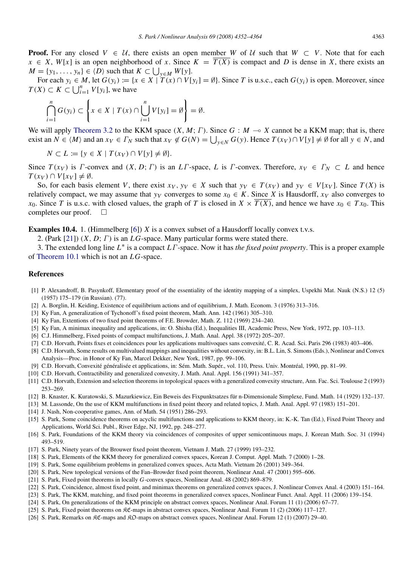**Proof.** For any closed  $V \in U$ , there exists an open member *W* of U such that  $W \subset V$ . Note that for each  $x \in X$ ,  $W[x]$  is an open neighborhood of *x*. Since  $K = \overline{T(X)}$  is compact and *D* is dense in *X*, there exists an  $M = \{y_1, \ldots, y_n\} \in \langle D \rangle$  such that  $K \subset \bigcup_{y \in M} W[y]$ .

For each  $y_i \in M$ , let  $G(y_i) := \{x \in X \mid T(x) \cap V[y_i] = \emptyset\}$ . Since T is u.s.c., each  $G(y_i)$  is open. Moreover, since  $T(X) \subset K \subset \bigcup_{i=1}^{n} V[y_i]$ , we have

$$
\bigcap_{i=1}^n G(y_i) \subset \left\{ x \in X \mid T(x) \cap \bigcup_{i=1}^n V[y_i] = \emptyset \right\} = \emptyset.
$$

We will apply [Theorem 3.2](#page-2-2) to the KKM space  $(X, M; \Gamma)$ . Since  $G : M \rightarrow X$  cannot be a KKM map; that is, there exist an  $N \in \langle M \rangle$  and an  $x_V \in \Gamma_N$  such that  $x_V \notin G(N) = \bigcup_{y \in N} G(y)$ . Hence  $T(x_V) \cap V[y] \neq \emptyset$  for all  $y \in N$ , and

$$
N \subset L := \{ y \in X \mid T(xy) \cap V[y] \neq \emptyset \}.
$$

Since  $T(x_V)$  is  $\Gamma$ -convex and  $(X, D; \Gamma)$  is an  $LT$ -space,  $L$  is  $\Gamma$ -convex. Therefore,  $x_V \in \Gamma_N \subset L$  and hence *T*(*xV*) ∩ *V*[*xV*]  $\neq \emptyset$ .

So, for each basis element V, there exist  $x_V, y_V \in X$  such that  $y_V \in T(xy)$  and  $y_V \in V[x_V]$ . Since  $T(X)$  is relatively compact, we may assume that  $y_V$  converges to some  $x_0 \in K$ . Since X is Hausdorff,  $x_V$  also converges to *x*<sub>0</sub>. Since *T* is u.s.c. with closed values, the graph of *T* is closed in  $X \times \overline{T(X)}$ , and hence we have  $x_0 \in Tx_0$ . This completes our proof.  $\square$ 

Examples 10.4. 1. (Himmelberg [\[6\]](#page-11-18)) *X* is a convex subset of a Hausdorff locally convex t.v.s.

2. (Park [\[21\]](#page-11-16)) (*X*, *D*; Γ) is an *LG*-space. Many particular forms were stated there.

3. The extended long line *L* ∗ is a compact *L*Γ-space. Now it has *the fixed point property*. This is a proper example of [Theorem 10.1](#page-10-1) which is not an *LG*-space.

#### References

- <span id="page-11-10"></span>[1] P. Alexandroff, B. Pasynkoff, Elementary proof of the essentiality of the identity mapping of a simplex, Uspekhi Mat. Nauk (N.S.) 12 (5) (1957) 175–179 (in Russian). (77).
- <span id="page-11-12"></span>[2] A. Borglin, H. Keiding, Existence of equilibrium actions and of equilibrium, J. Math. Econom. 3 (1976) 313–316.
- <span id="page-11-5"></span>[3] Ky Fan, A generalization of Tychonoff's fixed point theorem, Math. Ann. 142 (1961) 305–310.
- <span id="page-11-14"></span>[4] Ky Fan, Extentions of two fixed point theorems of F.E. Browder, Math. Z. 112 (1969) 234–240.
- <span id="page-11-13"></span>[5] Ky Fan, A minimax inequality and applications, in: O. Shisha (Ed.), Inequalities III, Academic Press, New York, 1972, pp. 103–113.
- <span id="page-11-18"></span>[6] C.J. Himmelberg, Fixed points of compact multifunctions, J. Math. Anal. Appl. 38 (1972) 205–207.
- <span id="page-11-7"></span>[7] C.D. Horvath, Points fixes et coincidences pour les applications multivoques sans convexite, C. R. Acad. Sci. Paris 296 (1983) 403–406. ´
- [8] C.D. Horvath, Some results on multivalued mappings and inequalities without convexity, in: B.L. Lin, S. Simons (Eds.), Nonlinear and Convex Analysis—Proc. in Honor of Ky Fan, Marcel Dekker, New York, 1987, pp. 99–106.
- [9] C.D. Horvath, Convexité généralisée et applications, in: Sém. Math. Supér., vol. 110, Press. Univ. Montréal, 1990, pp. 81–99.
- <span id="page-11-11"></span>[10] C.D. Horvath, Contractibility and generalized convexity, J. Math. Anal. Appl. 156 (1991) 341–357.
- <span id="page-11-17"></span>[11] C.D. Horvath, Extension and selection theorems in topological spaces with a generalized convexity structure, Ann. Fac. Sci. Toulouse 2 (1993) 253–269.
- <span id="page-11-1"></span>[12] B. Knaster, K. Kuratowski, S. Mazurkiewicz, Ein Beweis des Fixpunktsatzes fur n-Dimensionale Simplexe, Fund. Math. 14 (1929) 132–137. ¨
- <span id="page-11-6"></span>[13] M. Lassonde, On the use of KKM multifunctions in fixed point theory and related topics, J. Math. Anal. Appl. 97 (1983) 151–201.
- <span id="page-11-15"></span>[14] J. Nash, Non-cooperative games, Ann. of Math. 54 (1951) 286–293.
- <span id="page-11-2"></span>[15] S. Park, Some coincidence theorems on acyclic multifunctions and applications to KKM theory, in: K.-K. Tan (Ed.), Fixed Point Theory and Applications, World Sci. Publ., River Edge, NJ, 1992, pp. 248–277.
- <span id="page-11-3"></span>[16] S. Park, Foundations of the KKM theory via coincidences of composites of upper semicontinuous maps, J. Korean Math. Soc. 31 (1994) 493–519.
- <span id="page-11-4"></span>[17] S. Park, Ninety years of the Brouwer fixed point theorem, Vietnam J. Math. 27 (1999) 193–232.
- <span id="page-11-9"></span>[18] S. Park, Elements of the KKM theory for generalized convex spaces, Korean J. Comput. Appl. Math. 7 (2000) 1–28.
- <span id="page-11-0"></span>[19] S. Park, Some equilibrium problems in generalized convex spaces, Acta Math. Vietnam 26 (2001) 349–364.
- [20] S. Park, New topological versions of the Fan–Browder fixed point theorem, Nonlinear Anal. 47 (2001) 595–606.
- <span id="page-11-16"></span>[21] S. Park, Fixed point theorems in locally *G*-convex spaces, Nonlinear Anal. 48 (2002) 869–879.
- [22] S. Park, Coincidence, almost fixed point, and minimax theorems on generalized convex spaces, J. Nonlinear Convex Anal. 4 (2003) 151–164.
- [23] S. Park, The KKM, matching, and fixed point theorems in generalized convex spaces, Nonlinear Funct. Anal. Appl. 11 (2006) 139–154.
- <span id="page-11-8"></span>[24] S. Park, On generalizations of the KKM principle on abstract convex spaces, Nonlinear Anal. Forum 11 (1) (2006) 67–77.
- [25] S. Park, Fixed point theorems on  $\Re\mathfrak{C}$ -maps in abstract convex spaces, Nonlinear Anal. Forum 11 (2) (2006) 117–127.
- [26] S. Park, Remarks on KC-maps and KO-maps on abstract convex spaces, Nonlinear Anal. Forum 12 (1) (2007) 29–40.